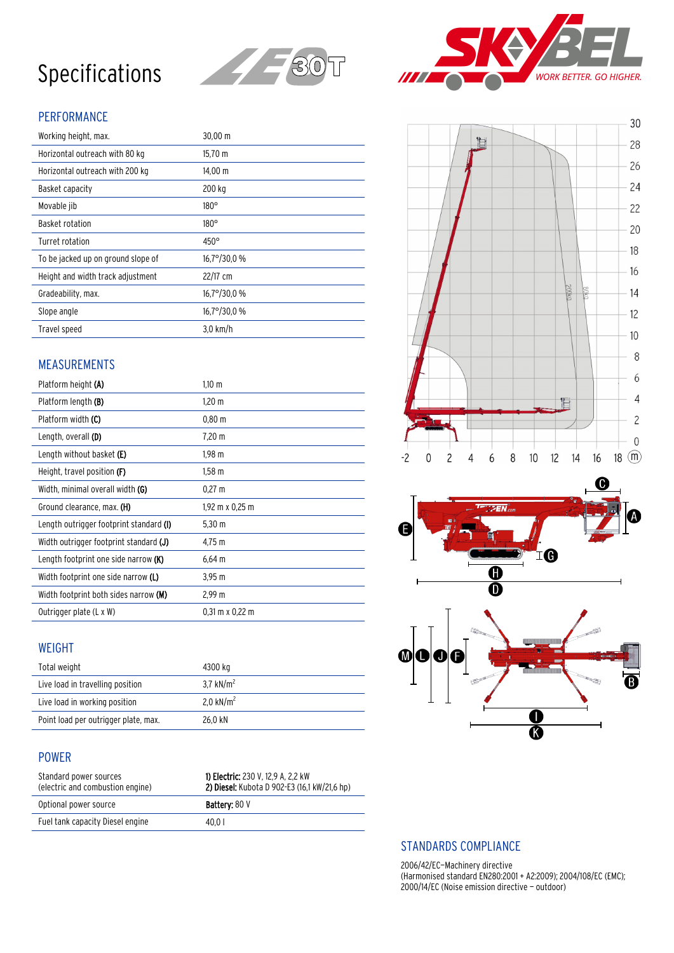# Specifications



## PERFORMANCE

| Working height, max.               | $30,00 \, \text{m}$  |
|------------------------------------|----------------------|
| Horizontal outreach with 80 kg     | $15,70 \; m$         |
| Horizontal outreach with 200 kg    | $14,00 \; \text{m}$  |
| Basket capacity                    | 200 kg               |
| Movable jib                        | $180^\circ$          |
| Basket rotation                    | $180^\circ$          |
| Turret rotation                    | $450^\circ$          |
| To be jacked up on ground slope of | $16.7^{\circ}/30.0%$ |
| Height and width track adjustment  | 22/17 cm             |
| Gradeability, max.                 | $16,7^{\circ}/30,0%$ |
| Slope angle                        | 16,7°/30,0 %         |
| Travel speed                       | $3.0$ km/h           |

### MEASUREMENTS

| Platform height (A)                        | $1.10 \; \mathrm{m}$ |
|--------------------------------------------|----------------------|
| Platform length (B)                        | $1,20 \; m$          |
| Platform width (C)                         | 0.80 m               |
| Length, overall (D)                        | 7,20 m               |
| Length without basket (E)                  | $1,98 \; m$          |
| Height, travel position (F)                | $1,58 \; m$          |
| Width, minimal overall width <b>(G)</b>    | $0.27 \text{ m}$     |
|                                            |                      |
| Ground clearance, max. (H)                 | 1,92 m x 0,25 m      |
| Length outrigger footprint standard (I)    | $5,30 \; m$          |
| Width outrigger footprint standard (J)     | 4,75 m               |
| Length footprint one side narrow (K)       | $6,64 \, m$          |
| Width footprint one side narrow <b>(L)</b> | $3,95 \; m$          |
| Width footprint both sides narrow (M)      | 2,99 m               |

#### WEIGHT

| Total weight                         | 4300 kg      |
|--------------------------------------|--------------|
| Live load in travelling position     | 3.7 $kN/m^2$ |
| Live load in working position        | 2.0 $kN/m^2$ |
| Point load per outrigger plate, max. | 26.0 kN      |

#### POWER

| Standard power sources<br>(electric and combustion engine) | <b>1) Electric:</b> 230 V, 12,9 A, 2,2 kW<br>2) Diesel: Kubota D 902-E3 (16,1 kW/21,6 hp) |
|------------------------------------------------------------|-------------------------------------------------------------------------------------------|
| Optional power source                                      | <b>Battery: 80 V</b>                                                                      |
| Fuel tank capacity Diesel engine                           | 40.01                                                                                     |









#### STANDARDS COMPLIANCE

2006/42/EC—Machinery directive (Harmonised standard EN280:2001 + A2:2009); 2004/108/EC (EMC); 2000/14/EC (Noise emission directive — outdoor)